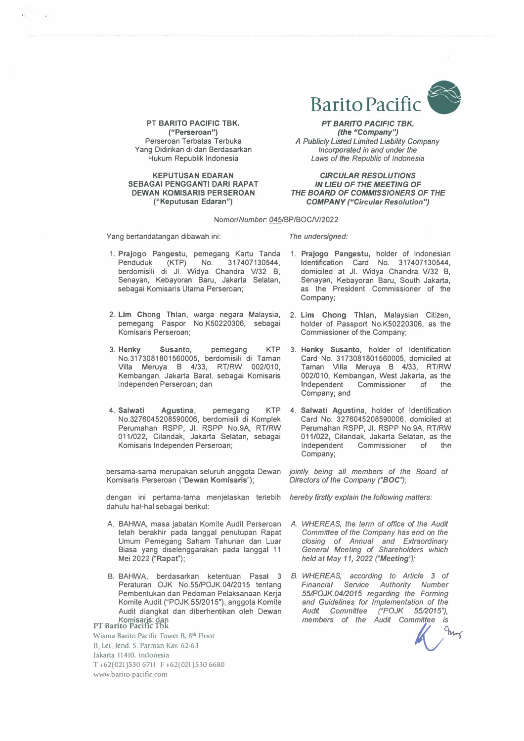

PT **BARITO PACIFIC TBK. ("Perseroan")**  Perseroan Terbatas Terbuka Yang Didirikan di dan Berdasarkan Hukum Republik Indonesia

**KEPUTUSAN EDARAN SEBAGAI PENGGANTI DARI RAPAT DEWAN KOMISARIS PER SEROAN ("Keputusan Edaran")** 

*PT BARITO PACIFIC TBK. (the "Company"* **A** *Publicly Listed Limited Liability Company Incorporated in and under the Laws of the Republic of Indonesia* 

*CIRCULAR RESOLUTIONS IN LIEU OF THE MEETING OF THE BOARD OF COMMISSIONERS OF THE COMPANY ("Circular Resolution")* 

## *NomorlNumber. 0*45/BPIBOCN/2022

Yang bertandatangan dibawah ini:

*The undersigned:* 

- 1. Prajogo Pangestu, pemegang Kartu Tanda Penduduk (KTP) No. 317407130544, berdomisili di JI. Widya Chandra Vl32 B, Senayan, Kebayoran Baru, Jakarta Selatan, sebagai Komisaris Utama Perseroan;
- 2. Lim Chong Thlan, warga negara Malaysia, pemegang Paspor No K50220306, sebagai Komlsaris Perseroan;
- 3. Henky Susanto, pemegang KTP No.3173081801560005, berdomisili di Taman Villa Meruya B 4133, RT/RW 002/010, Kembangan, Jakarta Barat, sebagai Komisaris lndependen Perseroan; dan
- **4. Salwatl Agustina,** pemegang KTP No.3276045208590006, berdomisili di Komplek Perumahan RSPP, JI. RSPP No.9A, RT/RW 011/022, Cilandak, Jakarta Selatan, sebagai Komisaris lndependen Perseroan;

bersama-sama merupakan seluruh anggota Dewan *jointly being all members of the Board of* Komisaris Perseroan ("Dewan Komisaris");

dengan ini pertama-tama menjelaskan terleblh *hereby firstly explain the following matters:* dahulu hal-hal sebagai berikut:

- A. BAHWA, masa jabatan Komite Audit Perseroan telah berakhir pada tanggal penutupan Rapat Umum Pemegang Saham Tahunan dan Luar Biasa yang diselenggarakan pada tanggal 11 Mei 2022 ("Rapat");
- 8. BAHWA, berdasarkan ketentuan Pasal 3 Peraturan OJK No.55/POJK.04/2015 tentang Pembentukan dan Pedoman Pelaksanaan Kerja Komite Audit ("POJK 55/2015"), anggota Komite Audit diangkat dan diberhentikan oleh Dewan Komisaris; dan<br>PT Barito Pacific Tbk

Wisma Barito Pacific Tower B, 8<sup>th</sup> Floor JI Let Jend. S. Parman Kav. 62-63 Jakarta 11410, Indonesia T +62{021)530 6711 F +62(021 )530 6680 www.barito-pacific com

- 1. **Prajogo Pangestu,** holder of Indonesian Identification Card No. 317407130544, domiciled at JI. Widya Chandra V/32 B, Senayan, Kebayoran Baru, South Jakarta, as the President Commissioner of the Company;
- 2. **Lim** Chong Thlan, Malaysian Citizen, holder of Passport No.K50220306, as the Commissioner of the Company;
- 3. **Henky Susanto,** holder of Identification Card No. 3173081801560005, domiciled at Taman Villa Meruya B 4133, RTIRW 002/010, Kembangan, West Jakarta, as the Independent Commissioner of the Independent Commissioner Company; and
- 4. **Salwatl** Agustina, holder of Identification Card No. 3276045208590006, domiciled at Perumahan RSPP, JI. RSPP No.9A, RTIRW 011/022, Cilandak, Jakarta Selatan, as the Independent Commissioner of the Company;

- *A. WHEREAS, the term of office of the Audit Committee of the Company has end on the closing of Annual and Extraordinary General Meeting of Shareholders which held at May 11, 2022 ("Meeting");*
- *B. WHEREAS, according to Article 3 of Financial Service Authority Number SSROJK.0412015 regarding the Forming and Guidelines for Implementation of the* Audit Committee ("POJK 55/2015"), *members of the Audit Committee is ��*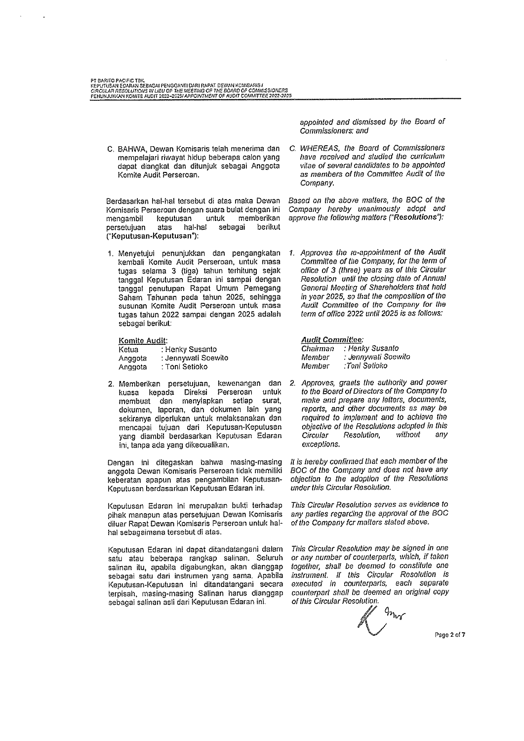PT BARITO PACIFIC TBK.<br>KEPUTUSAN EOARAN SEBAGAI PENGGANTI DARI RAPAT DEWAN KOMBARIS I<br>CIRCULAR RESOLUTIONS IN LIEU OF THE MEETING OF THE BOARD OF COMMISSIONERS<br>FENURJUNKAN KOMITE AUDIT 2022–2025I APPOINTMENT OF AUDIT COMMI

C. BAHWA, Dewan Komisaris telah menerima dan mempelajari riwayat hidup beberapa calon yang dapat diangkat dan ditunjuk sebagai Anggota Komite Audit Perseroan.

Berdasarkan hal-hal tersebut di atas maka Dewan Komisaris Perseroan dengan suara bulat dengan ini keputusan untuk memberikan mengambil atas hal-hal sebagai berikut persetujuan ("Keputusan-Keputusan"):

1. Menyetujui penunjukkan dan pengangkatan kembali Komite Audit Perseroan, untuk masa tugas selama 3 (tiga) tahun terhitung sejak tanggal Keputusan Edaran ini sampai dengan tanggal penutupan Rapat Umum Pemegang Saham Tahunan pada tahun 2025, sehingga susunan Komite Audit Perseroan untuk masa tugas tahun 2022 sampai dengan 2025 adalah sebagai berikut:

## Komite Audit:

| (etua   | : Henky Susanto     |
|---------|---------------------|
| ∖nggota | : Jennywati Soewito |
| \nggota | : Toni Setioko      |

2. Memberikan persetujuan, kewenangan dan kuasa kepada Direksi Perseroan untuk membuat dan menyiapkan setiap surat. dokumen, laporan, dan dokumen lain yang sekiranya diperlukan untuk melaksanakan dan mencapai tujuan dari Keputusan-Keputusan yang diambil berdasarkan Keputusan Edaran ini, tanpa ada yang dikecualikan.

Dengan ini ditegaskan bahwa masing-masing anggota Dewan Komisaris Perseroan tidak memiliki keberatan apapun atas pengambilan Keputusan-Keputusan berdasarkan Keputusan Edaran ini.

Keputusan Edaran ini merupakan bukti terhadap pihak manapun atas persetujuan Dewan Komisaris diluar Rapat Dewan Komisaris Perseroan untuk halhal sebagaimana tersebut di atas.

Keputusan Edaran ini dapat ditandatangani dalam satu atau beberapa rangkap salinan. Seluruh salinan itu, apabila digabungkan, akan dianggap sebagai satu dari instrumen yang sama. Apabila Keputusan-Keputusan ini ditandatangani secara terpisah, masing-masing Salinan harus dianggap sebagai salinan asli dari Keputusan Edaran ini.

appointed and dismissed by the Board of Commissioners; and

C. WHEREAS, the Board of Commissioners have received and studied the curriculum vitae of several candidates to be appointed as members of the Committee Audit of the Company.

Based on the above matters, the BOC of the Company hereby unanimously adopt and approve the following matters ("Resolutions"):

1. Approves the re-appointment of the Audit Committee of the Company, for the term of office of 3 (three) years as of this Circular Resolution until the closing date of Annual General Meeting of Shareholders that held in year 2025, so that the composition of the Audit Committee of the Company for the term of office 2022 until 2025 is as follows:

**Audit Committee:** 

| Chairman | : Henky Susanto     |
|----------|---------------------|
| Vlember  | : Jennywati Soewitc |
| Vlember  | :Toni Setioko       |

2. Approves, grants the authority and power to the Board of Directors of the Company to make and prepare any letters, documents, reports, and other documents as may be required to implement and to achieve the objective of the Resolutions adopted in this Circular Resolution. without anv exceptions.

It is hereby confirmed that each member of the BOC of the Company and does not have any objection to the adoption of the Resolutions under this Circular Resolution.

This Circular Resolution serves as evidence to any parties regarding the approval of the BOC of the Company for matters stated above.

This Circular Resolution may be signed in one or any number of counterparts, which, if taken together, shall be deemed to constitute one instrument. If this Circular Resolution is executed in counterparts, each separate counterpart shall be deemed an original copy of this Circular Resolution.

 $q_{n_{\text{tot}}}$ 

Page 2 of 7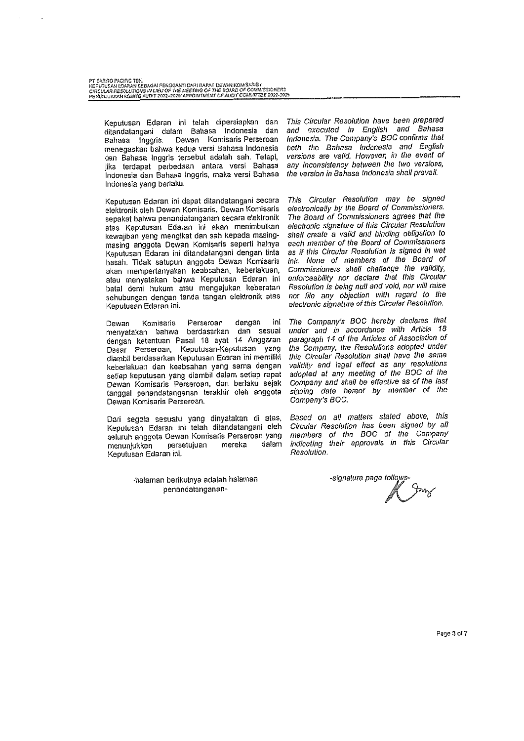| PT BARITO PACIFIC TEK.                                                           |
|----------------------------------------------------------------------------------|
| KEPUTUSAN EDARAN SEBAGAI PENGGANTI DARI RAPAT DEWAN KOMISARIS I                  |
| CIRCULAR RESOLUTIONS IN LIEU OF THE MEETING OF THE BOARD OF COMMISSIONERS        |
| deni in ilkulan uchate alitht 98992025/APPOINTMENT OF ALIDIT COMMITTEE 2022-2025 |

Keputusan Edaran ini telah dipersiapkan dan<br>ditandatangani dalam Bahasa Indonesia dan Bahasa Inggris. Dewan Komisaris Perseroan menegaskan bahwa kedua versi Bahasa Indonesia dan Bahasa Inggris tersebut adalah sah. Tetapi, jika terdapat perbedaan antara versi Bahasa Indonesia dan Bahasa Inggris, maka versi Bahasa Indonesia yang berlaku.

Keputusan Edaran ini dapat ditandatangani secara elektronik oleh Dewan Komisaris. Dewan Komisaris sepakat bahwa penandatanganan secara elektronik atas Keputusan Edaran ini akan menimbulkan kewajiban yang mengikat dan sah kepada masingmasing anggota Dewan Komisaris seperti halnya Keputusan Edaran ini ditandatangani dengan tinta basah. Tidak satupun anggota Dewan Komisaris akan mempertanyakan keabsahan, keberlakuan, atau menyatakan bahwa Keputusan Edaran ini batal demi hukum atau mengajukan keberatan sehubungan dengan tanda tangan elektronik atas Keputusan Edaran ini.

Perseroan dengan ini Komisaris Dewan menyatakan bahwa berdasarkan dan sesuai dengan ketentuan Pasal 18 ayat 14 Anggaran Dasar Perseroan, Keputusan-Keputusan yang diambil berdasarkan Keputusan Edaran ini memiliki keberlakuan dan keabsahan yang sama dengan setiap keputusan yang diambil dalam setiap rapat Dewan Komisaris Perseroan, dan berlaku sejak tanggal penandatanganan terakhir oleh anggota Dewan Komisaris Perseroan.

Dari segala sesuatu yang dinyatakan di atas, Keputusan Edaran ini telah ditandatangani oleh seluruh anggota Dewan Komisaris Perseroan yang mereka dalam menunjukkan persetujuan Keputusan Edaran ini.

> -halaman berikutnya adalah halaman penandatanganan

This Circular Resolution have been prepared and executed in English and Bahasa Indonesia. The Company's BOC confirms that both the Bahasa Indonesia and English versions are valid. However, in the event of any inconsistency between the two versions, the version in Bahasa Indonesia shall prevail.

This Circular Resolution may be signed electronically by the Board of Commissioners. The Board of Commissioners agrees that the electronic signature of this Circular Resolution shall create a valid and binding obligation to each member of the Board of Commissioners as if this Circular Resolution is signed in wet ink. None of members of the Board of Commissioners shall challenge the validity, enforceability nor declare that this Circular Resolution is being null and void, nor will raise nor file any objection with regard to the electronic signature of this Circular Resolution.

The Company's BOC hereby declares that under and in accordance with Article 18 paragraph 14 of the Articles of Association of the Company, the Resolutions adopted under this Circular Resolution shall have the same validity and legal effect as any resolutions adopted at any meeting of the BOC of the Company and shall be effective as of the last signing date hereof by member of the Company's BOC.

Based on all matters stated above, this Circular Resolution has been signed by all members of the BOC of the Company indicating their approvals in this Circular Resolution.

-signature page follow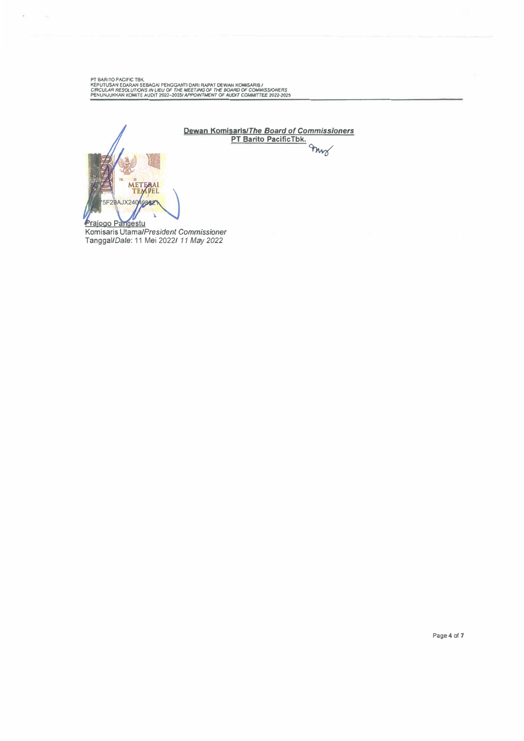PT BARITO PACIFIC TBK.<br>KEPUTUSAN EDARAN SEBAGAI PENGGANTI DARI RAPAT DEWAN KOMISARIS I<br>CIRCULAR RESOLUTIONS IN LIEU OF THE MEETING OF THE BOARD OF COMMISSIONERS<br>PENUNJUKKAN KOMITE AUDIT 2022-2025I APPOINTMENT OF AUDIT COMM

ams

**Dewan Komlsarls/The** *Board of Commissioners*  **PT Barlto PacificTbk.**  METI 5F29AJX240 49862 Prajogo Pangestu

**花**<br>たいいい

**Komisaris** *Utama/President Commissioner*  Tanggal/Date: 11 Mei 2022/ *11 M*a*y 2022*

**Page 4 of 7**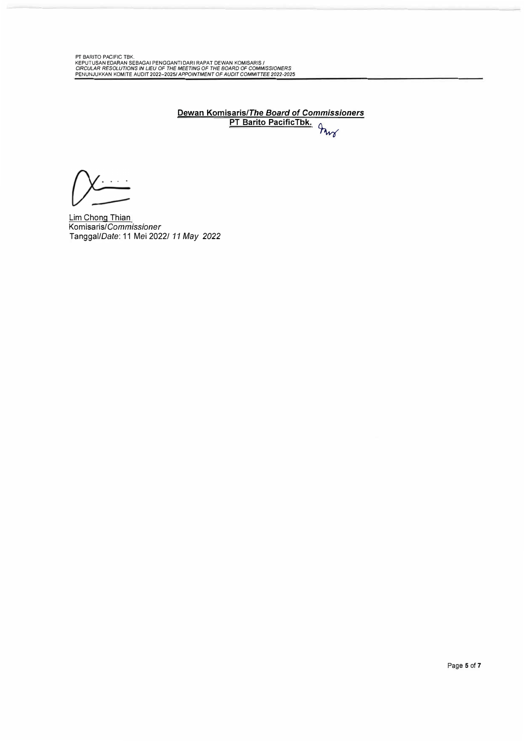PT BARITO PACIFIC TBK.<br>KEPUTUSAN EDARAN SEBAGAI PENGGANTI DARI RAPAT DEWAN KOMISARIS /<br>CIRCULAR RESOLUTIONS IN LIEU OF THE MEETING OF THE BOARD OF COMMISSIONERS<br>PENUNJUKKAN KOMITE AUDIT 2022–2025/ APPOINTMENT OF AUDIT COMM

**Dewan Komisaris/The** *Board of Commissioners* **PT Barito PacificTbk. �** 

 $\cdots$ 

Lim Chong Thian Komisaris/Commissioner Tanggal/Oate: 11 Mei 2022/ *11 May 2022*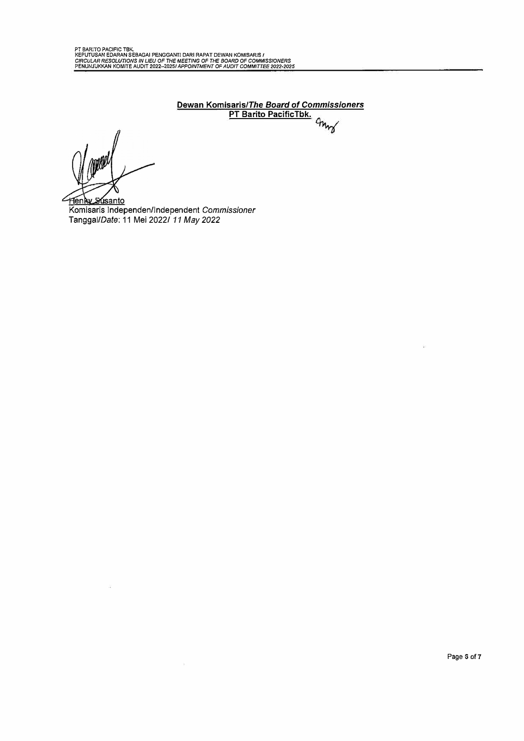**Dewan Komisaris/The** *Board of Commissioners*  **PT Barito PacificTbk.** 

 $\widetilde{\alpha}$ 

Henky Susanto Komisaris lndependen/lndependent *Commissioner*  Tanggal/Date: 11 Mei 2022/ *11 M*a*y 2022*

 $\hat{\mathbf{g}}$